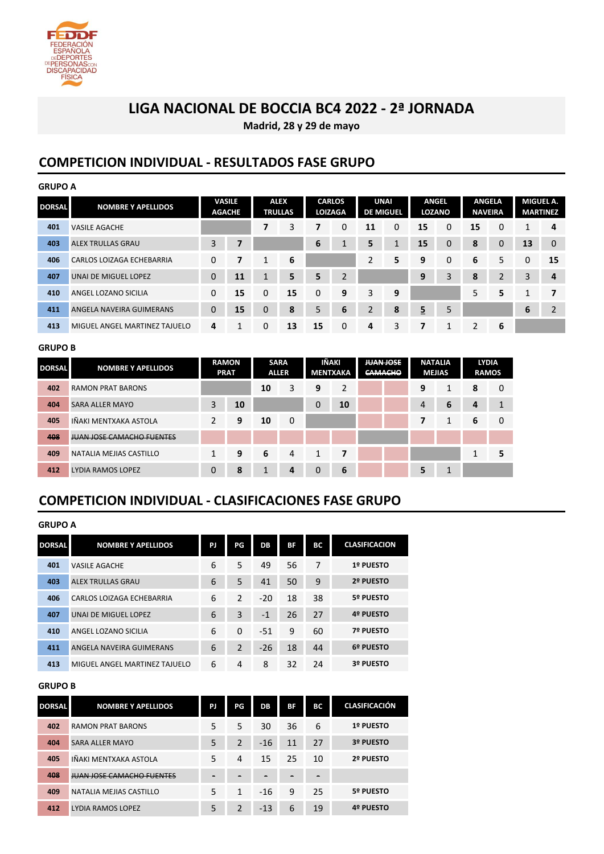

**Madrid, 28 y 29 de mayo**

### **COMPETICION INDIVIDUAL - RESULTADOS FASE GRUPO**

| <b>GRUPO A</b> |                               |               |               |              |                |    |                                 |             |                  |              |               |    |                                 |              |                 |
|----------------|-------------------------------|---------------|---------------|--------------|----------------|----|---------------------------------|-------------|------------------|--------------|---------------|----|---------------------------------|--------------|-----------------|
| <b>DORSAL</b>  | <b>NOMBRE Y APELLIDOS</b>     | <b>AGACHE</b> | <b>VASILE</b> | <b>ALEX</b>  | <b>TRULLAS</b> |    | <b>CARLOS</b><br><b>LOIZAGA</b> | <b>UNAI</b> | <b>DE MIGUEL</b> | <b>ANGEL</b> | <b>LOZANO</b> |    | <b>ANGELA</b><br><b>NAVEIRA</b> | MIGUEL A.    | <b>MARTINEZ</b> |
| 401            | <b>VASILE AGACHE</b>          |               |               | 7            | 3              |    | 0                               | 11          | 0                | 15           | $\mathbf 0$   | 15 | 0                               | $\mathbf{1}$ | 4               |
| 403            | <b>ALEX TRULLAS GRAU</b>      | 3             | 7             |              |                | 6  | 1                               | 5           |                  | 15           | $\mathbf 0$   | 8  | 0                               | 13           | $\mathbf{0}$    |
| 406            | CARLOS LOIZAGA ECHEBARRIA     | 0             | 7             | $\mathbf{1}$ | 6              |    |                                 | 2           | 5                | 9            | $\mathbf 0$   | 6  | 5.                              | 0            | 15              |
| 407            | UNAI DE MIGUEL LOPEZ          | $\mathbf 0$   | 11            | $\mathbf{1}$ | 5              | 5  | $\overline{2}$                  |             |                  | 9            | 3             | 8  | 2                               | 3            | 4               |
| 410            | ANGEL LOZANO SICILIA          | $\Omega$      | 15            | 0            | 15             | 0  | 9                               | 3           | 9                |              |               | 5  | 5                               | 1            | 7               |
| 411            | ANGELA NAVEIRA GUIMERANS      | $\mathbf 0$   | 15            | 0            | 8              | 5  | 6                               | 2           | 8                | <u>5</u>     | 5             |    |                                 | 6            | $\overline{2}$  |
| 413            | MIGUEL ANGEL MARTINEZ TAJUELO | 4             | 1             | 0            | 13             | 15 | 0                               | 4           | 3                | 7            | 1             | 2  | 6                               |              |                 |

#### **GRUPO B**

| <b>DORSAL</b> | <b>NOMBRE Y APELLIDOS</b>        | <b>RAMON</b><br><b>PRAT</b> |    | <b>SARA</b><br><b>ALLER</b> |   | IÑAKI<br>MENTXAKA |    | <b>JUAN JOSE</b><br><b>CAMACHO</b> |  | <b>NATALIA</b><br><b>MEJIAS</b> |   | <b>LYDIA</b><br><b>RAMOS</b> |   |
|---------------|----------------------------------|-----------------------------|----|-----------------------------|---|-------------------|----|------------------------------------|--|---------------------------------|---|------------------------------|---|
| 402           | <b>RAMON PRAT BARONS</b>         |                             |    | 10                          | 3 | 9                 | ำ  |                                    |  | 9                               | ◢ | 8                            | 0 |
| 404           | <b>SARA ALLER MAYO</b>           | 3                           | 10 |                             |   | 0                 | 10 |                                    |  | 4                               | 6 | 4                            |   |
| 405           | IÑAKI MENTXAKA ASTOLA            | っ                           | 9  | 10                          | 0 |                   |    |                                    |  |                                 |   | 6                            | 0 |
| 408           | <b>JUAN JOSE CAMACHO FUENTES</b> |                             |    |                             |   |                   |    |                                    |  |                                 |   |                              |   |
| 409           | NATALIA MEJIAS CASTILLO          | 1                           | 9  | 6                           | 4 | 7<br>1            |    |                                    |  |                                 |   |                              | 5 |
| 412           | LYDIA RAMOS LOPEZ                | 0                           | 8  |                             | 4 | 0                 | 6  |                                    |  | 5                               | ø |                              |   |

### **COMPETICION INDIVIDUAL - CLASIFICACIONES FASE GRUPO**

| GRUPO A |  |
|---------|--|
|---------|--|

| <b>DORSAL</b> | <b>NOMBRE Y APELLIDOS</b>     | PJ | PG.            | DB    | ВF | ВC | <b>CLASIFICACION</b> |
|---------------|-------------------------------|----|----------------|-------|----|----|----------------------|
| 401           | <b>VASILE AGACHE</b>          | 6  | 5              | 49    | 56 | 7  | 1º PUESTO            |
| 403           | ALEX TRULLAS GRAU             | 6  | 5              | 41    | 50 | 9  | 2º PUESTO            |
| 406           | CARLOS LOIZAGA ECHEBARRIA     | 6  | $\overline{2}$ | $-20$ | 18 | 38 | 5º PUESTO            |
| 407           | UNAI DE MIGUEL LOPEZ          | 6  | 3              | $-1$  | 26 | 27 | 4º PUESTO            |
| 410           | ANGEL LOZANO SICILIA          | 6  | $\Omega$       | $-51$ | 9  | 60 | 7º PUESTO            |
| 411           | ANGELA NAVEIRA GUIMERANS      | 6  | 2              | $-26$ | 18 | 44 | 6º PUESTO            |
| 413           | MIGUEL ANGEL MARTINEZ TAJUELO | 6  | 4              | 8     | 32 | 24 | 3º PUESTO            |

#### **GRUPO B**

| <b>DORSAL</b> | <b>NOMBRE Y APELLIDOS</b>        | PJ | PG             | DB    | BF | BС | <b>CLASIFICACIÓN</b> |
|---------------|----------------------------------|----|----------------|-------|----|----|----------------------|
| 402           | <b>RAMON PRAT BARONS</b>         | 5  | 5              | 30    | 36 | 6  | 1º PUESTO            |
| 404           | SARA ALLER MAYO                  | 5  | $\mathfrak{p}$ | $-16$ | 11 | 27 | 3º PUESTO            |
| 405           | IÑAKI MENTXAKA ASTOLA            | 5  | 4              | 15    | 25 | 10 | 2º PUESTO            |
| 408           | <b>JUAN JOSE CAMACHO FUENTES</b> | -  |                |       | -  | -  |                      |
| 409           | NATALIA MEJIAS CASTILLO          | 5  | 1              | $-16$ | 9  | 25 | 5º PUESTO            |
| 412           | LYDIA RAMOS LOPEZ                | 5  |                | $-13$ | 6  | 19 | 4º PUESTO            |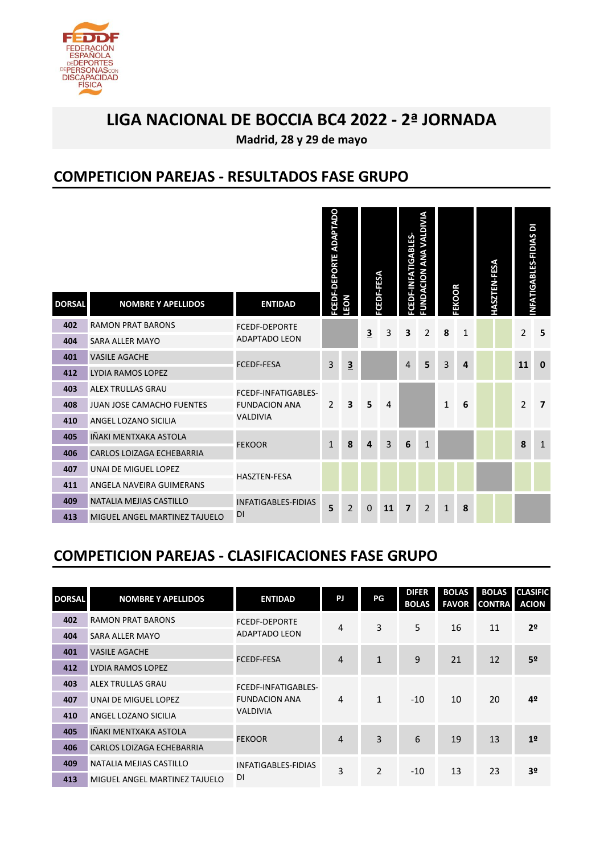

**Madrid, 28 y 29 de mayo**

### **COMPETICION PAREJAS - RESULTADOS FASE GRUPO**

| 402<br><b>RAMON PRAT BARONS</b><br><b>FCEDF-DEPORTE</b><br>3<br>$\overline{\mathbf{3}}$<br>3<br>2<br>8<br>$\mathbf{1}$<br><b>ADAPTADO LEON</b><br><b>SARA ALLER MAYO</b><br>404<br><b>VASILE AGACHE</b><br>401<br>5<br>3<br>$\overline{\mathbf{3}}$<br>3<br><b>FCEDF-FESA</b><br>4<br>4<br>412<br>LYDIA RAMOS LOPEZ<br><b>ALEX TRULLAS GRAU</b><br>403<br>FCEDF-INFATIGABLES-<br>5<br>6<br>2<br>3<br>4<br>$\mathbf{1}$<br><b>FUNDACION ANA</b><br>JUAN JOSE CAMACHO FUENTES<br>408<br><b>VALDIVIA</b><br>ANGEL LOZANO SICILIA<br>410<br>IÑAKI MENTXAKA ASTOLA<br>405<br>3<br>8<br>$\mathbf{1}$<br>6<br>$\mathbf{1}$<br><b>FEKOOR</b><br>4<br>406<br><b>CARLOS LOIZAGA ECHEBARRIA</b><br>407<br>UNAI DE MIGUEL LOPEZ<br><b>HASZTEN-FESA</b><br>411<br>ANGELA NAVEIRA GUIMERANS<br>409<br>NATALIA MEJIAS CASTILLO<br><b>INFATIGABLES-FIDIAS</b><br>5<br>$\overline{2}$<br>0<br>11<br>$\overline{2}$<br>8<br>$\overline{\mathbf{z}}$<br>$\mathbf{1}$<br>DI<br>413<br>MIGUEL ANGEL MARTINEZ TAJUELO<br><b>COMPETICION PAREJAS - CLASIFICACIONES FASE GRUPO</b> | <b>DORSAL</b> | <b>NOMBRE Y APELLIDOS</b> | <b>ENTIDAD</b> | <b>FCEDF-DEPORTE ADAPTADO</b> | <b>NO31</b> | CEDF-FESA | FCEDF-INFATIGABLES- | UNDACION ANA VALDIVIA | FEKOOR | <b>HASZTEN-FESA</b> | NFATIGABLES-FIDIAS DI |                |
|------------------------------------------------------------------------------------------------------------------------------------------------------------------------------------------------------------------------------------------------------------------------------------------------------------------------------------------------------------------------------------------------------------------------------------------------------------------------------------------------------------------------------------------------------------------------------------------------------------------------------------------------------------------------------------------------------------------------------------------------------------------------------------------------------------------------------------------------------------------------------------------------------------------------------------------------------------------------------------------------------------------------------------------------------------|---------------|---------------------------|----------------|-------------------------------|-------------|-----------|---------------------|-----------------------|--------|---------------------|-----------------------|----------------|
|                                                                                                                                                                                                                                                                                                                                                                                                                                                                                                                                                                                                                                                                                                                                                                                                                                                                                                                                                                                                                                                            |               |                           |                |                               |             |           |                     |                       |        |                     | 2                     | 5              |
|                                                                                                                                                                                                                                                                                                                                                                                                                                                                                                                                                                                                                                                                                                                                                                                                                                                                                                                                                                                                                                                            |               |                           |                |                               |             |           |                     |                       |        |                     |                       |                |
|                                                                                                                                                                                                                                                                                                                                                                                                                                                                                                                                                                                                                                                                                                                                                                                                                                                                                                                                                                                                                                                            |               |                           |                |                               |             |           |                     |                       |        |                     | 11                    | $\bf{0}$       |
|                                                                                                                                                                                                                                                                                                                                                                                                                                                                                                                                                                                                                                                                                                                                                                                                                                                                                                                                                                                                                                                            |               |                           |                |                               |             |           |                     |                       |        |                     |                       |                |
|                                                                                                                                                                                                                                                                                                                                                                                                                                                                                                                                                                                                                                                                                                                                                                                                                                                                                                                                                                                                                                                            |               |                           |                |                               |             |           |                     |                       |        |                     |                       |                |
|                                                                                                                                                                                                                                                                                                                                                                                                                                                                                                                                                                                                                                                                                                                                                                                                                                                                                                                                                                                                                                                            |               |                           |                |                               |             |           |                     |                       |        |                     | $\overline{2}$        | $\overline{7}$ |
|                                                                                                                                                                                                                                                                                                                                                                                                                                                                                                                                                                                                                                                                                                                                                                                                                                                                                                                                                                                                                                                            |               |                           |                |                               |             |           |                     |                       |        |                     |                       |                |
|                                                                                                                                                                                                                                                                                                                                                                                                                                                                                                                                                                                                                                                                                                                                                                                                                                                                                                                                                                                                                                                            |               |                           |                |                               |             |           |                     |                       |        |                     | 8                     | $\mathbf{1}$   |
|                                                                                                                                                                                                                                                                                                                                                                                                                                                                                                                                                                                                                                                                                                                                                                                                                                                                                                                                                                                                                                                            |               |                           |                |                               |             |           |                     |                       |        |                     |                       |                |
|                                                                                                                                                                                                                                                                                                                                                                                                                                                                                                                                                                                                                                                                                                                                                                                                                                                                                                                                                                                                                                                            |               |                           |                |                               |             |           |                     |                       |        |                     |                       |                |
|                                                                                                                                                                                                                                                                                                                                                                                                                                                                                                                                                                                                                                                                                                                                                                                                                                                                                                                                                                                                                                                            |               |                           |                |                               |             |           |                     |                       |        |                     |                       |                |
|                                                                                                                                                                                                                                                                                                                                                                                                                                                                                                                                                                                                                                                                                                                                                                                                                                                                                                                                                                                                                                                            |               |                           |                |                               |             |           |                     |                       |        |                     |                       |                |
|                                                                                                                                                                                                                                                                                                                                                                                                                                                                                                                                                                                                                                                                                                                                                                                                                                                                                                                                                                                                                                                            |               |                           |                |                               |             |           |                     |                       |        |                     |                       |                |
|                                                                                                                                                                                                                                                                                                                                                                                                                                                                                                                                                                                                                                                                                                                                                                                                                                                                                                                                                                                                                                                            |               |                           |                |                               |             |           |                     |                       |        |                     |                       |                |

## **COMPETICION PAREJAS - CLASIFICACIONES FASE GRUPO**

| <b>DORSAL</b> | <b>NOMBRE Y APELLIDOS</b>        | <b>ENTIDAD</b>       | PJ             | PG           | <b>DIFER</b><br><b>BOLAS</b> | <b>BOLAS</b><br><b>FAVOR</b> | <b>BOLAS</b><br><b>CONTRA</b> | <b>CLASIFIC</b><br><b>ACION</b> |  |
|---------------|----------------------------------|----------------------|----------------|--------------|------------------------------|------------------------------|-------------------------------|---------------------------------|--|
| 402           | <b>RAMON PRAT BARONS</b>         | <b>FCEDF-DEPORTE</b> | 4              | 3            | 5                            | 16                           | 11                            | 2º                              |  |
| 404           | SARA ALLER MAYO                  | <b>ADAPTADO LEON</b> |                |              |                              |                              |                               |                                 |  |
| 401           | <b>VASILE AGACHE</b>             | <b>FCEDF-FESA</b>    | $\overline{4}$ | $\mathbf{1}$ | 9                            | 21                           | 12                            | 5º                              |  |
| 412           | LYDIA RAMOS LOPEZ                |                      |                |              |                              |                              |                               |                                 |  |
| 403           | <b>ALEX TRULLAS GRAU</b>         | FCEDF-INFATIGABLES-  |                |              |                              |                              |                               |                                 |  |
| 407           | UNAI DE MIGUEL LOPEZ             | <b>FUNDACION ANA</b> | 4              | $\mathbf{1}$ | $-10$                        | 10                           | 20                            | 4º                              |  |
| 410           | ANGEL LOZANO SICILIA             | <b>VALDIVIA</b>      |                |              |                              |                              |                               |                                 |  |
| 405           | IÑAKI MENTXAKA ASTOLA            | <b>FEKOOR</b>        | $\overline{4}$ | 3            | 6                            | 19                           | 13                            | 1 <sup>2</sup>                  |  |
| 406           | <b>CARLOS LOIZAGA ECHEBARRIA</b> |                      |                |              |                              |                              |                               |                                 |  |
| 409           | NATALIA MEJIAS CASTILLO          | INFATIGABLES-FIDIAS  |                |              |                              |                              |                               |                                 |  |
| 413           | MIGUEL ANGEL MARTINEZ TAJUELO    | DI                   | 3              | 2            | $-10$                        | 13                           | 23                            | 3º                              |  |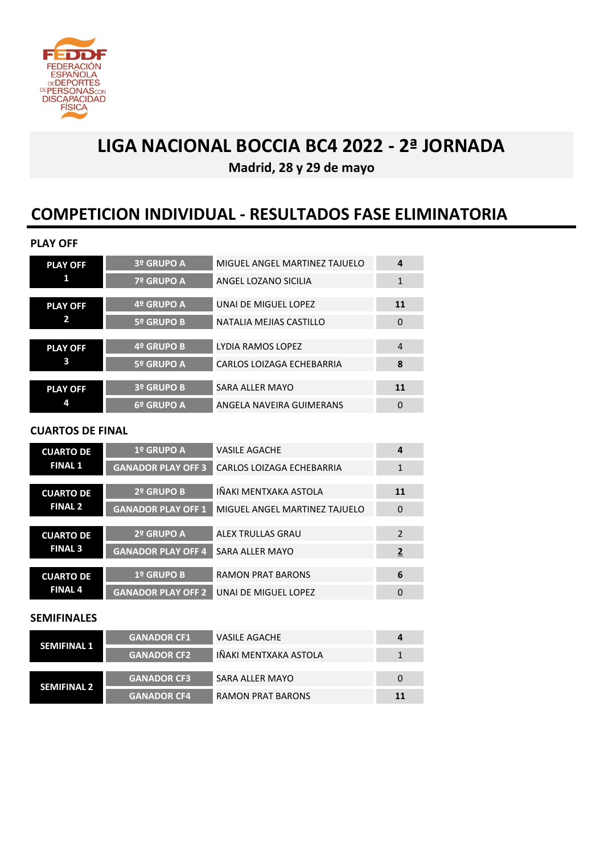

**Madrid, 28 y 29 de mayo**

## **COMPETICION INDIVIDUAL - RESULTADOS FASE ELIMINATORIA**

#### **PLAY OFF**

| <b>PLAY OFF</b> | 3º GRUPO A        | MIGUEL ANGEL MARTINEZ TAJUELO    | 4              |
|-----------------|-------------------|----------------------------------|----------------|
| 1               | 7º GRUPO A        | ANGEL LOZANO SICILIA             | 1              |
|                 |                   |                                  |                |
| <b>PLAY OFF</b> | 4º GRUPO A        | UNAI DE MIGUEL LOPEZ             | <b>11</b>      |
| 2               | 5º GRUPO B        | NATALIA MEJIAS CASTILLO          | $\mathbf 0$    |
|                 |                   |                                  |                |
| <b>PLAY OFF</b> | 4º GRUPO B        | LYDIA RAMOS LOPEZ                | $\overline{4}$ |
| 3               | 5º GRUPO A        | <b>CARLOS LOIZAGA ECHEBARRIA</b> | 8              |
|                 |                   |                                  |                |
| <b>PLAY OFF</b> | <b>3º GRUPO B</b> | <b>SARA ALLER MAYO</b>           | <b>11</b>      |
| 4               | 6º GRUPO A        | ANGELA NAVEIRA GUIMERANS         | $\Omega$       |

#### **CUARTOS DE FINAL**

| <b>CUARTO DE</b> | 1º GRUPO A                | <b>VASILE AGACHE</b>             | 4             |
|------------------|---------------------------|----------------------------------|---------------|
| <b>FINAL 1</b>   | <b>GANADOR PLAY OFF 3</b> | <b>CARLOS LOIZAGA ECHEBARRIA</b> | 1             |
| <b>CUARTO DE</b> | 2º GRUPO B                | IÑAKI MENTXAKA ASTOLA            | 11            |
| <b>FINAL 2</b>   | <b>GANADOR PLAY OFF 1</b> | MIGUEL ANGEL MARTINEZ TAJUELO    | $\Omega$      |
|                  |                           |                                  |               |
| <b>CUARTO DE</b> | 2º GRUPO A                | ALEX TRULLAS GRAU                | $\mathcal{P}$ |
| <b>FINAL 3</b>   | <b>GANADOR PLAY OFF 4</b> | SARA ALLER MAYO                  | 2             |
|                  |                           |                                  |               |
| <b>CUARTO DE</b> | 1º GRUPO B                | <b>RAMON PRAT BARONS</b>         | 6             |
| <b>FINAL 4</b>   | <b>GANADOR PLAY OFF 2</b> | UNAI DE MIGUEL LOPEZ             | 0             |

#### **SEMIFINALES**

|                    | <b>GANADOR CF1</b> | VASILE AGACHE            | 4  |
|--------------------|--------------------|--------------------------|----|
| <b>SEMIFINAL 1</b> | <b>GANADOR CF2</b> | IÑAKI MENTXAKA ASTOLA    |    |
|                    |                    |                          |    |
| <b>SEMIFINAL 2</b> | <b>GANADOR CF3</b> | SARA ALLER MAYO          | 0  |
|                    | <b>GANADOR CF4</b> | <b>RAMON PRAT BARONS</b> | 11 |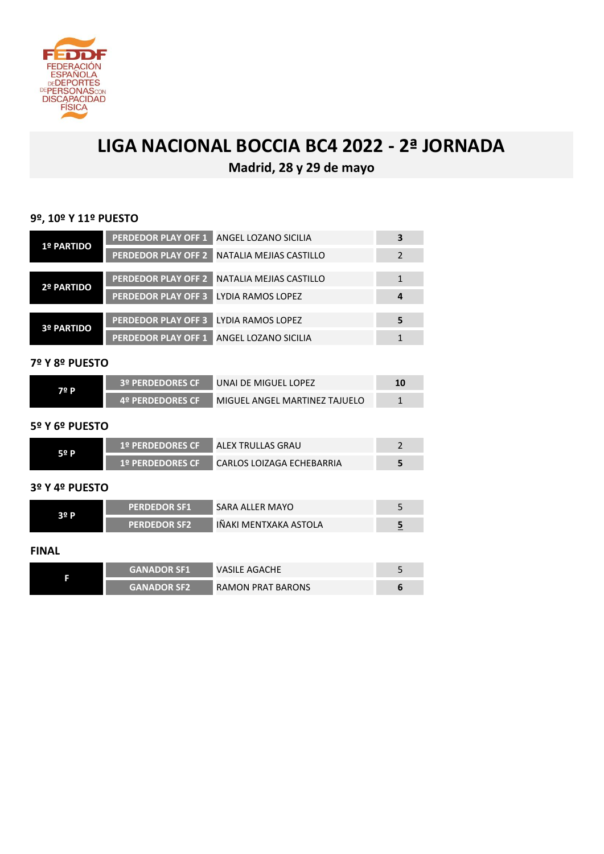

**Madrid, 28 y 29 de mayo**

#### **9º, 10º Y 11º PUESTO**

| <b>1º PARTIDO</b> | PERDEDOR PLAY OFF 1 ANGEL LOZANO SICILIA |                                             |  |
|-------------------|------------------------------------------|---------------------------------------------|--|
|                   |                                          | PERDEDOR PLAY OFF 2 NATALIA MEJIAS CASTILLO |  |
|                   |                                          |                                             |  |
| <b>2º PARTIDO</b> |                                          | PERDEDOR PLAY OFF 2 NATALIA MEJIAS CASTILLO |  |
|                   | <b>PERDEDOR PLAY OFF 3</b>               | LYDIA RAMOS LOPEZ                           |  |
|                   |                                          |                                             |  |
| <b>3º PARTIDO</b> | <b>PERDEDOR PLAY OFF 3</b>               | LYDIA RAMOS LOPEZ                           |  |
|                   | <b>PERDEDOR PLAY OFF 1</b>               | ANGEL LOZANO SICILIA                        |  |

#### **7º Y 8º PUESTO**

| 72 P | <b>3º PERDEDORES CFT</b> | UNAI DE MIGUEL LOPEZ          |  |
|------|--------------------------|-------------------------------|--|
|      | <b>4º PERDEDORES CF</b>  | MIGUEL ANGEL MARTINEZ TAJUELO |  |

#### **5º Y 6º PUESTO**

| 52 P | <b>: 1º PERDEDORES CF</b> | ALEX TRULLAS GRAU           |  |
|------|---------------------------|-----------------------------|--|
|      | <b>: 1º PERDEDORES CF</b> | ' CARLOS LOIZAGA ECHEBARRIA |  |

#### **3º Y 4º PUESTO**

| 22 P. | <b>PERDEDOR SF1</b> | SARA ALLER MAYO                                         |  |
|-------|---------------------|---------------------------------------------------------|--|
|       | <b>PERDEDOR SF2</b> | $\blacktriangle$ IÑAKI MENTXAKA ASTOLA $\blacktriangle$ |  |

#### **FINAL**

| <b>GANADOR SF1</b> | <b>VASILE AGACHE</b> |  |
|--------------------|----------------------|--|
| <b>GANADOR SF2</b> | RAMON PRAT BARONS    |  |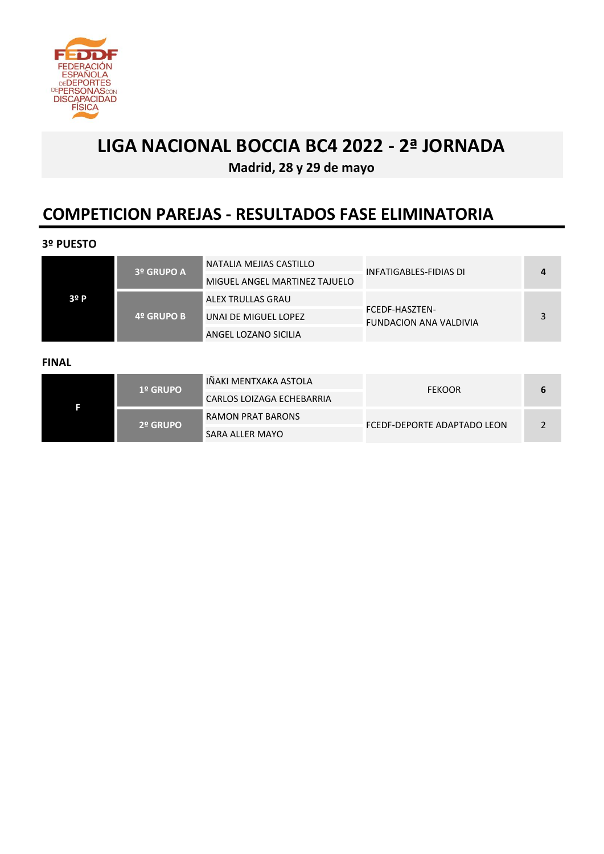

**Madrid, 28 y 29 de mayo**

## **COMPETICION PAREJAS - RESULTADOS FASE ELIMINATORIA**

#### **3º PUESTO**

|      | <b>3º GRUPO A</b> | NATALIA MEJIAS CASTILLO       | INFATIGABLES-FIDIAS DI                          |   |
|------|-------------------|-------------------------------|-------------------------------------------------|---|
|      |                   | MIGUEL ANGEL MARTINEZ TAJUELO |                                                 |   |
| 3º P |                   | ALEX TRULLAS GRAU             |                                                 |   |
|      | 4º GRUPO B        | UNAI DE MIGUEL LOPEZ          | FCEDF-HASZTEN-<br><b>FUNDACION ANA VALDIVIA</b> | 2 |
|      |                   | ANGEL LOZANO SICILIA          |                                                 |   |

#### **FINAL**

| <b>1º GRUPO</b> | I IÑAKI MENTXAKA ASTOLA I | <b>FEKOOR</b>               |  |
|-----------------|---------------------------|-----------------------------|--|
|                 | CARLOS LOIZAGA ECHEBARRIA |                             |  |
| 2º GRUPO        | RAMON PRAT BARONS         | FCEDF-DEPORTE ADAPTADO LEON |  |
|                 | SARA ALLER MAYO           |                             |  |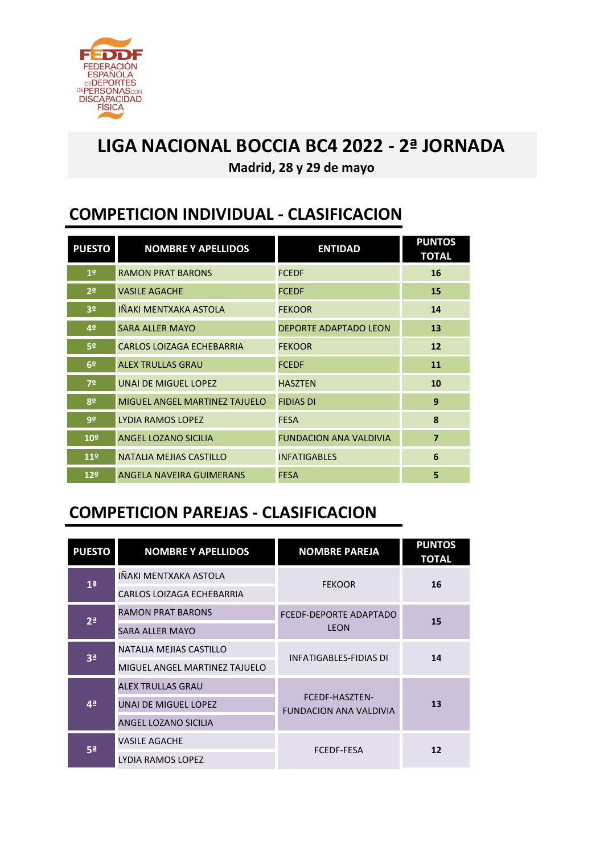

**Madrid, 28 y 29 de mayo**

## **COMPETICION INDIVIDUAL - CLASIFICACION**

| <b>PUESTO</b>   | <b>NOMBRE Y APELLIDOS</b>        | <b>ENTIDAD</b>                | <b>PUNTOS</b><br><b>TOTAL</b> |
|-----------------|----------------------------------|-------------------------------|-------------------------------|
| 1 <sup>o</sup>  | <b>RAMON PRAT BARONS</b>         | <b>FCEDF</b>                  | 16                            |
| 2 <sup>o</sup>  | <b>VASILE AGACHE</b>             | <b>FCEDF</b>                  | 15                            |
| 3 <sup>o</sup>  | IÑAKI MENTXAKA ASTOLA            | <b>FEKOOR</b>                 | 14                            |
| 4º              | <b>SARA ALLER MAYO</b>           | <b>DEPORTE ADAPTADO LEON</b>  | 13                            |
| 5º              | <b>CARLOS LOIZAGA ECHEBARRIA</b> | <b>FEKOOR</b>                 | 12                            |
| 6 <sup>2</sup>  | <b>ALEX TRULLAS GRAU</b>         | <b>FCEDF</b>                  | 11                            |
| 7º              | <b>UNAI DE MIGUEL LOPEZ</b>      | <b>HASZTEN</b>                | 10                            |
| 8º              | MIGUEL ANGEL MARTINEZ TAJUELO    | <b>FIDIAS DI</b>              | 9                             |
| 9º              | <b>LYDIA RAMOS LOPEZ</b>         | <b>FESA</b>                   | 8                             |
| 10 <sup>°</sup> | ANGEL LOZANO SICILIA             | <b>FUNDACION ANA VALDIVIA</b> | $\overline{7}$                |
| 11 <sup>°</sup> | NATALIA MEJIAS CASTILLO          | <b>INFATIGABLES</b>           | 6                             |
| 12 <sup>°</sup> | <b>ANGELA NAVEIRA GUIMERANS</b>  | <b>FESA</b>                   | 5                             |

## **COMPETICION PAREJAS - CLASIFICACION**

| <b>PUESTO</b>  | <b>NOMBRE Y APELLIDOS</b>        | <b>NOMBRE PAREJA</b>                                   | <b>PUNTOS</b><br><b>TOTAL</b> |
|----------------|----------------------------------|--------------------------------------------------------|-------------------------------|
| 1 <sup>a</sup> | IÑAKI MENTXAKA ASTOLA            | <b>FEKOOR</b>                                          | 16                            |
|                | <b>CARLOS LOIZAGA ECHEBARRIA</b> |                                                        |                               |
| 2 <sup>a</sup> | <b>RAMON PRAT BARONS</b>         | FCEDF-DEPORTE ADAPTADO                                 | 15                            |
|                | <b>SARA ALLER MAYO</b>           | <b>LEON</b>                                            |                               |
| 3 <sup>a</sup> | NATALIA MEJIAS CASTILLO          | <b>INFATIGABLES-FIDIAS DI</b>                          | 14                            |
|                | MIGUEL ANGEL MARTINEZ TAJUELO    |                                                        |                               |
| 4 <sup>a</sup> | <b>ALEX TRULLAS GRAU</b>         |                                                        | 13                            |
|                | UNAI DE MIGUEL LOPEZ             | <b>FCEDF-HASZTEN-</b><br><b>FUNDACION ANA VALDIVIA</b> |                               |
|                | ANGEL LOZANO SICILIA             |                                                        |                               |
| <b>5ª</b>      | <b>VASILE AGACHE</b>             | <b>FCEDF-FESA</b>                                      | 12                            |
|                | LYDIA RAMOS LOPEZ                |                                                        |                               |